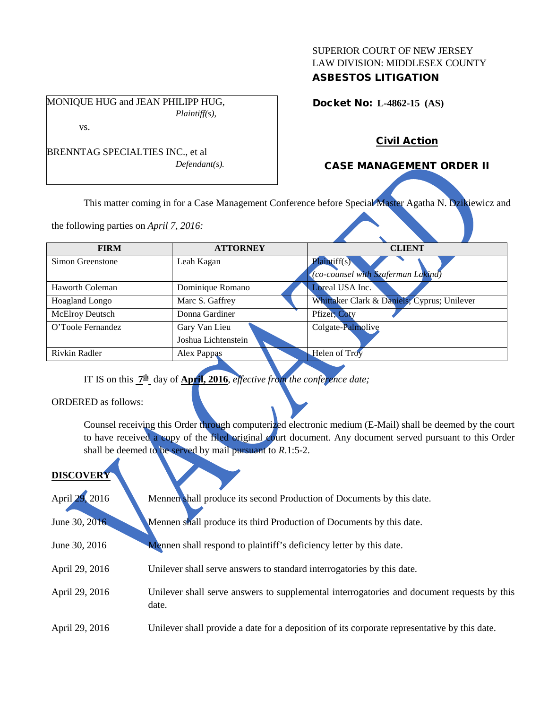## SUPERIOR COURT OF NEW JERSEY LAW DIVISION: MIDDLESEX COUNTY ASBESTOS LITIGATION

MONIQUE HUG and JEAN PHILIPP HUG, *Plaintiff(s),*

Docket No: **L-4862-15 (AS)** 

vs.

BRENNTAG SPECIALTIES INC., et al *Defendant(s).*

# CASE MANAGEMENT ORDER II

Civil Action

This matter coming in for a Case Management Conference before Special Master Agatha N. Dzikiewicz and

the following parties on *April 7, 2016:*

| <b>FIRM</b>           | <b>ATTORNEY</b>     | <b>CLIENT</b>                               |
|-----------------------|---------------------|---------------------------------------------|
|                       |                     |                                             |
| Simon Greenstone      | Leah Kagan          | Plaintiff(s)                                |
|                       |                     | (co-counsel with Szaferman Lakind)          |
| Haworth Coleman       | Dominique Romano    | Loreal USA Inc.                             |
| <b>Hoagland Longo</b> | Marc S. Gaffrey     | Whittaker Clark & Daniels; Cyprus; Unilever |
| McElroy Deutsch       | Donna Gardiner      | Pfizer; Coty                                |
| O'Toole Fernandez     | Gary Van Lieu       | Colgate-Palmolive                           |
|                       | Joshua Lichtenstein |                                             |
| Rivkin Radler         | Alex Pappas         | <b>Helen of Troy</b>                        |
|                       |                     |                                             |

IT IS on this **7th** day of **April, 2016**, *effective from the conference date;*

ORDERED as follows:

Counsel receiving this Order through computerized electronic medium (E-Mail) shall be deemed by the court to have received a copy of the filed original court document. Any document served pursuant to this Order shall be deemed to be served by mail pursuant to *R*.1:5-2.

# **DISCOVER**

| April 29, 2016 | Mennen shall produce its second Production of Documents by this date.                               |
|----------------|-----------------------------------------------------------------------------------------------------|
| June 30, 2016  | Mennen shall produce its third Production of Documents by this date.                                |
| June 30, 2016  | <b>Mennen</b> shall respond to plaintiff's deficiency letter by this date.                          |
| April 29, 2016 | Unilever shall serve answers to standard interrogatories by this date.                              |
| April 29, 2016 | Unilever shall serve answers to supplemental interrogatories and document requests by this<br>date. |
| April 29, 2016 | Unilever shall provide a date for a deposition of its corporate representative by this date.        |